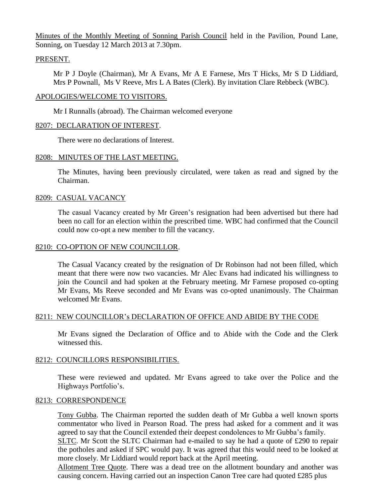Minutes of the Monthly Meeting of Sonning Parish Council held in the Pavilion, Pound Lane, Sonning, on Tuesday 12 March 2013 at 7.30pm.

## PRESENT.

Mr P J Doyle (Chairman), Mr A Evans, Mr A E Farnese, Mrs T Hicks, Mr S D Liddiard, Mrs P Pownall, Ms V Reeve, Mrs L A Bates (Clerk). By invitation Clare Rebbeck (WBC).

### APOLOGIES/WELCOME TO VISITORS.

Mr I Runnalls (abroad). The Chairman welcomed everyone

### 8207: DECLARATION OF INTEREST.

There were no declarations of Interest.

### 8208: MINUTES OF THE LAST MEETING.

The Minutes, having been previously circulated, were taken as read and signed by the Chairman.

### 8209: CASUAL VACANCY

The casual Vacancy created by Mr Green's resignation had been advertised but there had been no call for an election within the prescribed time. WBC had confirmed that the Council could now co-opt a new member to fill the vacancy.

#### 8210: CO-OPTION OF NEW COUNCILLOR.

The Casual Vacancy created by the resignation of Dr Robinson had not been filled, which meant that there were now two vacancies. Mr Alec Evans had indicated his willingness to join the Council and had spoken at the February meeting. Mr Farnese proposed co-opting Mr Evans, Ms Reeve seconded and Mr Evans was co-opted unanimously. The Chairman welcomed Mr Evans.

## 8211: NEW COUNCILLOR's DECLARATION OF OFFICE AND ABIDE BY THE CODE

Mr Evans signed the Declaration of Office and to Abide with the Code and the Clerk witnessed this.

#### 8212: COUNCILLORS RESPONSIBILITIES.

These were reviewed and updated. Mr Evans agreed to take over the Police and the Highways Portfolio's.

#### 8213: CORRESPONDENCE

Tony Gubba. The Chairman reported the sudden death of Mr Gubba a well known sports commentator who lived in Pearson Road. The press had asked for a comment and it was agreed to say that the Council extended their deepest condolences to Mr Gubba's family.

SLTC. Mr Scott the SLTC Chairman had e-mailed to say he had a quote of £290 to repair the potholes and asked if SPC would pay. It was agreed that this would need to be looked at more closely. Mr Liddiard would report back at the April meeting.

Allotment Tree Quote. There was a dead tree on the allotment boundary and another was causing concern. Having carried out an inspection Canon Tree care had quoted £285 plus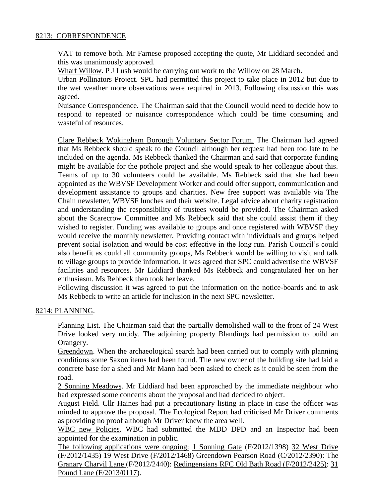# 8213: CORRESPONDENCE

VAT to remove both. Mr Farnese proposed accepting the quote, Mr Liddiard seconded and this was unanimously approved.

Wharf Willow. P J Lush would be carrying out work to the Willow on 28 March.

Urban Pollinators Project. SPC had permitted this project to take place in 2012 but due to the wet weather more observations were required in 2013. Following discussion this was agreed.

Nuisance Correspondence. The Chairman said that the Council would need to decide how to respond to repeated or nuisance correspondence which could be time consuming and wasteful of resources.

Clare Rebbeck Wokingham Borough Voluntary Sector Forum. The Chairman had agreed that Ms Rebbeck should speak to the Council although her request had been too late to be included on the agenda. Ms Rebbeck thanked the Chairman and said that corporate funding might be available for the pothole project and she would speak to her colleague about this. Teams of up to 30 volunteers could be available. Ms Rebbeck said that she had been appointed as the WBVSF Development Worker and could offer support, communication and development assistance to groups and charities. New free support was available via The Chain newsletter, WBVSF lunches and their website. Legal advice about charity registration and understanding the responsibility of trustees would be provided. The Chairman asked about the Scarecrow Committee and Ms Rebbeck said that she could assist them if they wished to register. Funding was available to groups and once registered with WBVSF they would receive the monthly newsletter. Providing contact with individuals and groups helped prevent social isolation and would be cost effective in the long run. Parish Council's could also benefit as could all community groups, Ms Rebbeck would be willing to visit and talk to village groups to provide information. It was agreed that SPC could advertise the WBVSF facilities and resources. Mr Liddiard thanked Ms Rebbeck and congratulated her on her enthusiasm. Ms Rebbeck then took her leave.

Following discussion it was agreed to put the information on the notice-boards and to ask Ms Rebbeck to write an article for inclusion in the next SPC newsletter.

## 8214: PLANNING.

Planning List. The Chairman said that the partially demolished wall to the front of 24 West Drive looked very untidy. The adjoining property Blandings had permission to build an Orangery.

Greendown. When the archaeological search had been carried out to comply with planning conditions some Saxon items had been found. The new owner of the building site had laid a concrete base for a shed and Mr Mann had been asked to check as it could be seen from the road.

2 Sonning Meadows. Mr Liddiard had been approached by the immediate neighbour who had expressed some concerns about the proposal and had decided to object.

August Field. Cllr Haines had put a precautionary listing in place in case the officer was minded to approve the proposal. The Ecological Report had criticised Mr Driver comments as providing no proof although Mr Driver knew the area well.

WBC new Policies. WBC had submitted the MDD DPD and an Inspector had been appointed for the examination in public.

The following applications were ongoing: 1 Sonning Gate (F/2012/1398) 32 West Drive (F/2012/1435) 19 West Drive (F/2012/1468) Greendown Pearson Road (C/2012/2390): The Granary Charvil Lane (F/2012/2440): Redingensians RFC Old Bath Road (F/2012/2425): 31 Pound Lane (F/2013/0117).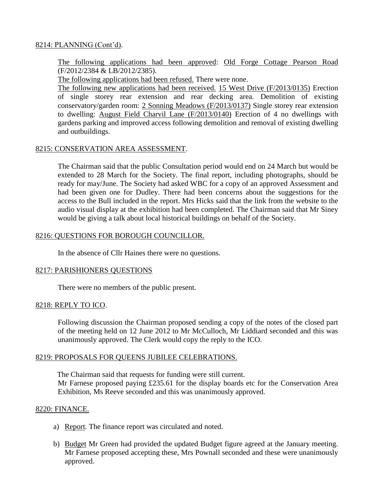# 8214: PLANNING (Cont'd).

The following applications had been approved: Old Forge Cottage Pearson Road (F/2012/2384 & LB/2012/2385).

The following applications had been refused. There were none.

The following new applications had been received. 15 West Drive (F/2013/0135) Erection of single storey rear extension and rear decking area. Demolition of existing conservatory/garden room: 2 Sonning Meadows (F/2013/0137) Single storey rear extension to dwelling: August Field Charvil Lane (F/2013/0140) Erection of 4 no dwellings with gardens parking and improved access following demolition and removal of existing dwelling and outbuildings.

### 8215: CONSERVATION AREA ASSESSMENT.

The Chairman said that the public Consultation period would end on 24 March but would be extended to 28 March for the Society. The final report, including photographs, should be ready for may/June. The Society had asked WBC for a copy of an approved Assessment and had been given one for Dudley. There had been concerns about the suggestions for the access to the Bull included in the report. Mrs Hicks said that the link from the website to the audio visual display at the exhibition had been completed. The Chairman said that Mr Siney would be giving a talk about local historical buildings on behalf of the Society.

## 8216: QUESTIONS FOR BOROUGH COUNCILLOR.

In the absence of Cllr Haines there were no questions.

## 8217: PARISHIONERS QUESTIONS

There were no members of the public present.

#### 8218: REPLY TO ICO.

Following discussion the Chairman proposed sending a copy of the notes of the closed part of the meeting held on 12 June 2012 to Mr McCulloch, Mr Liddiard seconded and this was unanimously approved. The Clerk would copy the reply to the ICO.

## 8219: PROPOSALS FOR QUEENS JUBILEE CELEBRATIONS.

The Chairman said that requests for funding were still current. Mr Farnese proposed paying £235.61 for the display boards etc for the Conservation Area Exhibition, Ms Reeve seconded and this was unanimously approved.

#### 8220: FINANCE.

- a) Report. The finance report was circulated and noted.
- b) Budget Mr Green had provided the updated Budget figure agreed at the January meeting. Mr Farnese proposed accepting these, Mrs Pownall seconded and these were unanimously approved.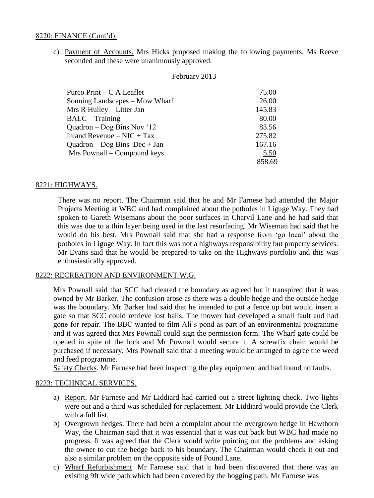## 8220: FINANCE (Cont'd).

c) Payment of Accounts. Mrs Hicks proposed making the following payments, Ms Reeve seconded and these were unanimously approved.

#### February 2013

| Purco Print $-C A$ Leaflet     | 75.00  |
|--------------------------------|--------|
| Sonning Landscapes – Mow Wharf | 26.00  |
| Mrs R Hulley – Litter Jan      | 145.83 |
| <b>BALC</b> – Training         | 80.00  |
| Quadron $-$ Dog Bins Nov '12   | 83.56  |
| Inland Revenue – $NIC + Tax$   | 275.82 |
| Quadron – Dog Bins Dec + Jan   | 167.16 |
| Mrs Pownall – Compound keys    | 5.50   |
|                                | 858.69 |

### 8221: HIGHWAYS.

There was no report. The Chairman said that he and Mr Farnese had attended the Major Projects Meeting at WBC and had complained about the potholes in Liguge Way. They had spoken to Gareth Wisemans about the poor surfaces in Charvil Lane and he had said that this was due to a thin layer being used in the last resurfacing. Mr Wiseman had said that he would do his best. Mrs Pownall said that she had a response from 'go local' about the potholes in Liguge Way. In fact this was not a highways responsibility but property services. Mr Evans said that he would be prepared to take on the Highways portfolio and this was enthusiastically approved.

### 8222: RECREATION AND ENVIRONMENT W.G.

Mrs Pownall said that SCC had cleared the boundary as agreed but it transpired that it was owned by Mr Barker. The confusion arose as there was a double hedge and the outside hedge was the boundary. Mr Barker had said that he intended to put a fence up but would insert a gate so that SCC could retrieve lost balls. The mower had developed a small fault and had gone for repair. The BBC wanted to film Ali's pond as part of an environmental programme and it was agreed that Mrs Pownall could sign the permission form. The Wharf gate could be opened in spite of the lock and Mr Pownall would secure it. A screwfix chain would be purchased if necessary. Mrs Pownall said that a meeting would be arranged to agree the weed and feed programme.

Safety Checks. Mr Farnese had been inspecting the play equipment and had found no faults.

#### 8223: TECHNICAL SERVICES.

- a) Report. Mr Farnese and Mr Liddiard had carried out a street lighting check. Two lights were out and a third was scheduled for replacement. Mr Liddiard would provide the Clerk with a full list.
- b) Overgrown hedges. There had been a complaint about the overgrown hedge in Hawthorn Way, the Chairman said that it was essential that it was cut back but WBC had made no progress. It was agreed that the Clerk would write pointing out the problems and asking the owner to cut the hedge back to his boundary. The Chairman would check it out and also a similar problem on the opposite side of Pound Lane.
- c) Wharf Refurbishment. Mr Farnese said that it had been discovered that there was an existing 9ft wide path which had been covered by the hogging path. Mr Farnese was